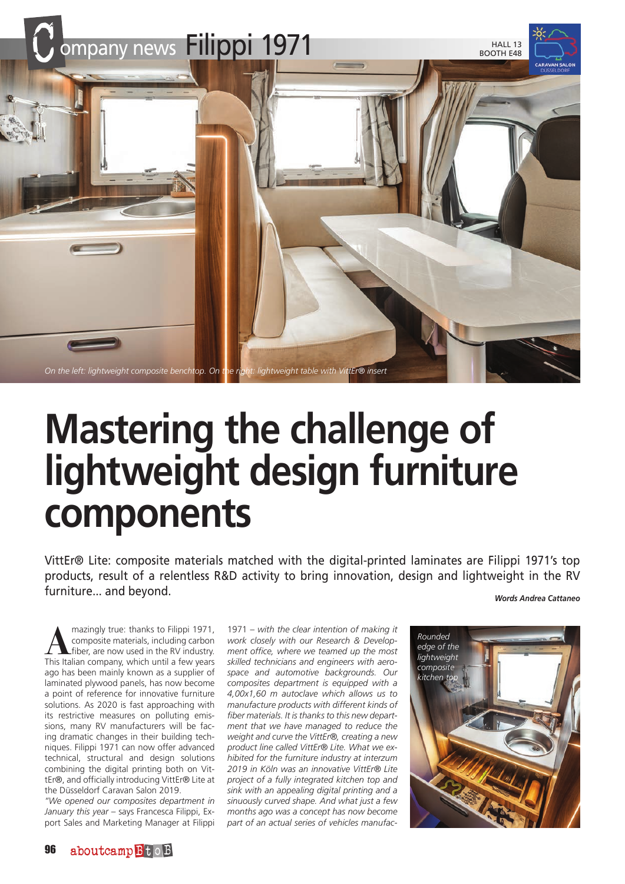

## **Mastering the challenge of lightweight design furniture components**

VittEr® Lite: composite materials matched with the digital-printed laminates are Filippi 1971's top products, result of a relentless R&D activity to bring innovation, design and lightweight in the RV furniture... and beyond.

*Words Andrea Cattaneo*

mazingly true: thanks to Filippi 1971,<br>
fiber, are now used in the RV industry.<br>
This Italian company which until a few years composite materials, including carbon This Italian company, which until a few years ago has been mainly known as a supplier of laminated plywood panels, has now become a point of reference for innovative furniture solutions. As 2020 is fast approaching with its restrictive measures on polluting emissions, many RV manufacturers will be facing dramatic changes in their building techniques. Filippi 1971 can now offer advanced technical, structural and design solutions combining the digital printing both on VittEr®, and officially introducing VittEr® Lite at the Düsseldorf Caravan Salon 2019.

*"We opened our composites department in January this year* – says Francesca Filippi, Export Sales and Marketing Manager at Filippi

1971 – *with the clear intention of making it work closely with our Research & Development office, where we teamed up the most skilled technicians and engineers with aerospace and automotive backgrounds. Our composites department is equipped with a 4,00x1,60 m autoclave which allows us to manufacture products with different kinds of fiber materials. It is thanks to this new department that we have managed to reduce the weight and curve the VittEr®, creating a new product line called VittEr® Lite. What we exhibited for the furniture industry at interzum 2019 in Köln was an innovative VittEr® Lite project of a fully integrated kitchen top and sink with an appealing digital printing and a sinuously curved shape. And what just a few months ago was a concept has now become part of an actual series of vehicles manufac-*